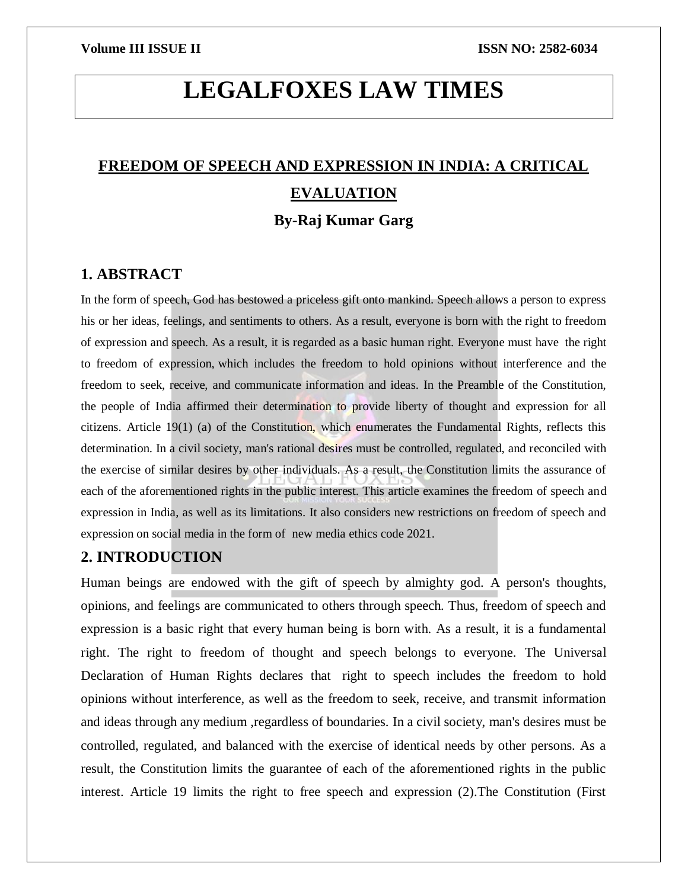# **LEGALFOXES LAW TIMES**

# **FREEDOM OF SPEECH AND EXPRESSION IN INDIA: A CRITICAL EVALUATION By-Raj Kumar Garg**

# **1. ABSTRACT**

In the form of speech, God has bestowed a priceless gift onto mankind. Speech allows a person to express his or her ideas, feelings, and sentiments to others. As a result, everyone is born with the right to freedom of expression and speech. As a result, it is regarded as a basic human right. Everyone must have the right to freedom of expression, which includes the freedom to hold opinions without interference and the freedom to seek, receive, and communicate information and ideas. In the Preamble of the Constitution, the people of India affirmed their determination to provide liberty of thought and expression for all citizens. Article 19(1) (a) of the Constitution, which enumerates the Fundamental Rights, reflects this determination. In a civil society, man's rational desires must be controlled, regulated, and reconciled with the exercise of similar desires by other individuals. As a result, the Constitution limits the assurance of each of the aforementioned rights in the public interest. This article examines the freedom of speech and expression in India, as well as its limitations. It also considers new restrictions on freedom of speech and expression on social media in the form of new media ethics code 2021.

# **2. INTRODUCTION**

Human beings are endowed with the gift of speech by almighty god. A person's thoughts, opinions, and feelings are communicated to others through speech. Thus, freedom of speech and expression is a basic right that every human being is born with. As a result, it is a fundamental right. The right to freedom of thought and speech belongs to everyone. The Universal Declaration of Human Rights declares that right to speech includes the freedom to hold opinions without interference, as well as the freedom to seek, receive, and transmit information and ideas through any medium ,regardless of boundaries. In a civil society, man's desires must be controlled, regulated, and balanced with the exercise of identical needs by other persons. As a result, the Constitution limits the guarantee of each of the aforementioned rights in the public interest. Article 19 limits the right to free speech and expression (2).The Constitution (First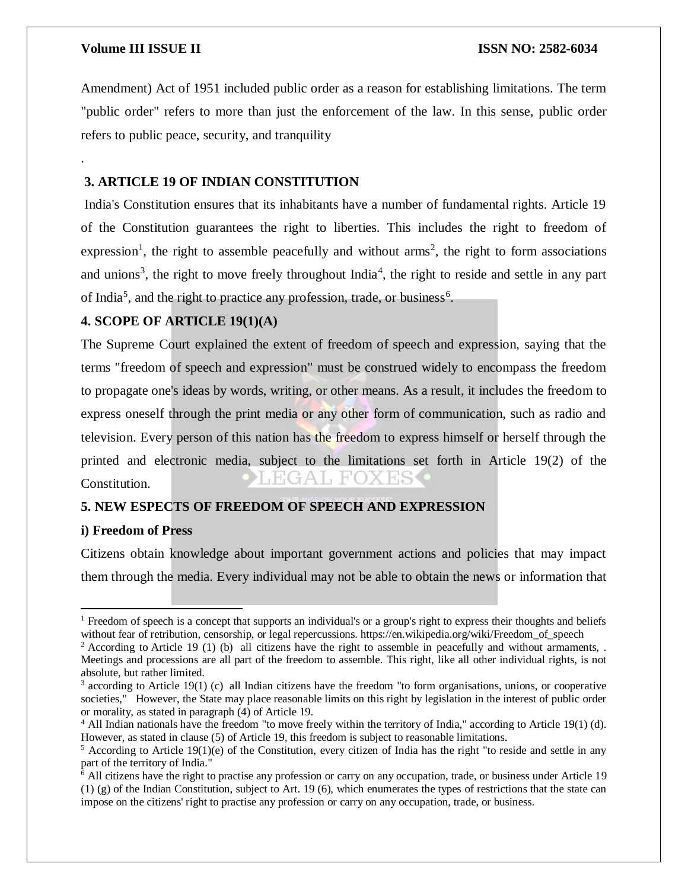.

Amendment) Act of 1951 included public order as a reason for establishing limitations. The term "public order" refers to more than just the enforcement of the law. In this sense, public order refers to public peace, security, and tranquility

# **3. ARTICLE 19 OF INDIAN CONSTITUTION**

India's Constitution ensures that its inhabitants have a number of fundamental rights. Article 19 of the Constitution guarantees the right to liberties. This includes the right to freedom of expression<sup>1</sup>, the right to assemble peacefully and without  $\text{arms}^2$ , the right to form associations and unions<sup>3</sup>, the right to move freely throughout India<sup>4</sup>, the right to reside and settle in any part of India<sup>5</sup>, and the right to practice any profession, trade, or business<sup>6</sup>.

# **4. SCOPE OF ARTICLE 19(1)(A)**

The Supreme Court explained the extent of freedom of speech and expression, saying that the terms "freedom of speech and expression" must be construed widely to encompass the freedom to propagate one's ideas by words, writing, or other means. As a result, it includes the freedom to express oneself through the print media or any other form of communication, such as radio and television. Every person of this nation has the freedom to express himself or herself through the printed and electronic media, subject to the limitations set forth in Article 19(2) of the  $H(GA), H'O$ Constitution.

# **5. NEW ESPECTS OF FREEDOM OF SPEECH AND EXPRESSION**

### **i) Freedom of Press**

 $\overline{\phantom{a}}$ 

Citizens obtain knowledge about important government actions and policies that may impact them through the media. Every individual may not be able to obtain the news or information that

<sup>&</sup>lt;sup>1</sup> Freedom of speech is a concept that supports an individual's or a group's right to express their thoughts and beliefs without fear of retribution, censorship, or legal repercussions. https://en.wikipedia.org/wiki/Freedom\_of\_speech

<sup>&</sup>lt;sup>2</sup> According to Article 19 (1) (b) all citizens have the right to assemble in peacefully and without armaments, . Meetings and processions are all part of the freedom to assemble. This right, like all other individual rights, is not absolute, but rather limited.

 $3$  according to Article 19(1) (c) all Indian citizens have the freedom "to form organisations, unions, or cooperative societies," However, the State may place reasonable limits on this right by legislation in the interest of public order or morality, as stated in paragraph (4) of Article 19.

<sup>4</sup> All Indian nationals have the freedom "to move freely within the territory of India," according to Article 19(1) (d). However, as stated in clause (5) of Article 19, this freedom is subject to reasonable limitations.

 $5$  According to Article 19(1)(e) of the Constitution, every citizen of India has the right "to reside and settle in any part of the territory of India."

<sup>6</sup> All citizens have the right to practise any profession or carry on any occupation, trade, or business under Article 19 (1) (g) of the Indian Constitution, subject to Art. 19 (6), which enumerates the types of restrictions that the state can impose on the citizens' right to practise any profession or carry on any occupation, trade, or business.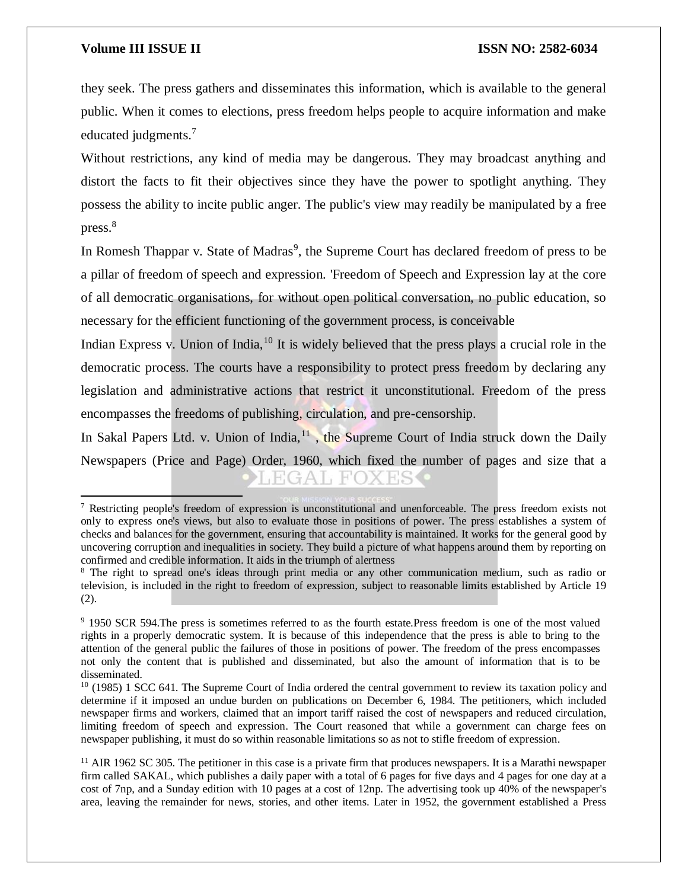$\overline{a}$ 

they seek. The press gathers and disseminates this information, which is available to the general public. When it comes to elections, press freedom helps people to acquire information and make educated judgments.<sup>7</sup>

Without restrictions, any kind of media may be dangerous. They may broadcast anything and distort the facts to fit their objectives since they have the power to spotlight anything. They possess the ability to incite public anger. The public's view may readily be manipulated by a free press.<sup>8</sup>

In Romesh Thappar v. State of Madras<sup>9</sup>, the Supreme Court has declared freedom of press to be a pillar of freedom of speech and expression. 'Freedom of Speech and Expression lay at the core of all democratic organisations, for without open political conversation, no public education, so necessary for the efficient functioning of the government process, is conceivable

Indian Express v. Union of India,  $10$  It is widely believed that the press plays a crucial role in the democratic process. The courts have a responsibility to protect press freedom by declaring any legislation and administrative actions that restrict it unconstitutional. Freedom of the press encompasses the freedoms of publishing, circulation, and pre-censorship.

In Sakal Papers Ltd. v. Union of India, $11$ , the Supreme Court of India struck down the Daily Newspapers (Price and Page) Order, 1960, which fixed the number of pages and size that a

<sup>7</sup> Restricting people's freedom of expression is unconstitutional and unenforceable. The press freedom exists not only to express one's views, but also to evaluate those in positions of power. The press establishes a system of checks and balances for the government, ensuring that accountability is maintained. It works for the general good by uncovering corruption and inequalities in society. They build a picture of what happens around them by reporting on confirmed and credible information. It aids in the triumph of alertness

<sup>&</sup>lt;sup>8</sup> The right to spread one's ideas through print media or any other communication medium, such as radio or television, is included in the right to freedom of expression, subject to reasonable limits established by Article 19 (2).

<sup>9</sup> 1950 SCR 594.The press is sometimes referred to as the fourth estate.Press freedom is one of the most valued rights in a properly democratic system. It is because of this independence that the press is able to bring to the attention of the general public the failures of those in positions of power. The freedom of the press encompasses not only the content that is published and disseminated, but also the amount of information that is to be disseminated.

 $10$  (1985) 1 SCC 641. The Supreme Court of India ordered the central government to review its taxation policy and determine if it imposed an undue burden on publications on December 6, 1984. The petitioners, which included newspaper firms and workers, claimed that an import tariff raised the cost of newspapers and reduced circulation, limiting freedom of speech and expression. The Court reasoned that while a government can charge fees on newspaper publishing, it must do so within reasonable limitations so as not to stifle freedom of expression.

 $11$  AIR 1962 SC 305. The petitioner in this case is a private firm that produces newspapers. It is a Marathi newspaper firm called SAKAL, which publishes a daily paper with a total of 6 pages for five days and 4 pages for one day at a cost of 7np, and a Sunday edition with 10 pages at a cost of 12np. The advertising took up 40% of the newspaper's area, leaving the remainder for news, stories, and other items. Later in 1952, the government established a Press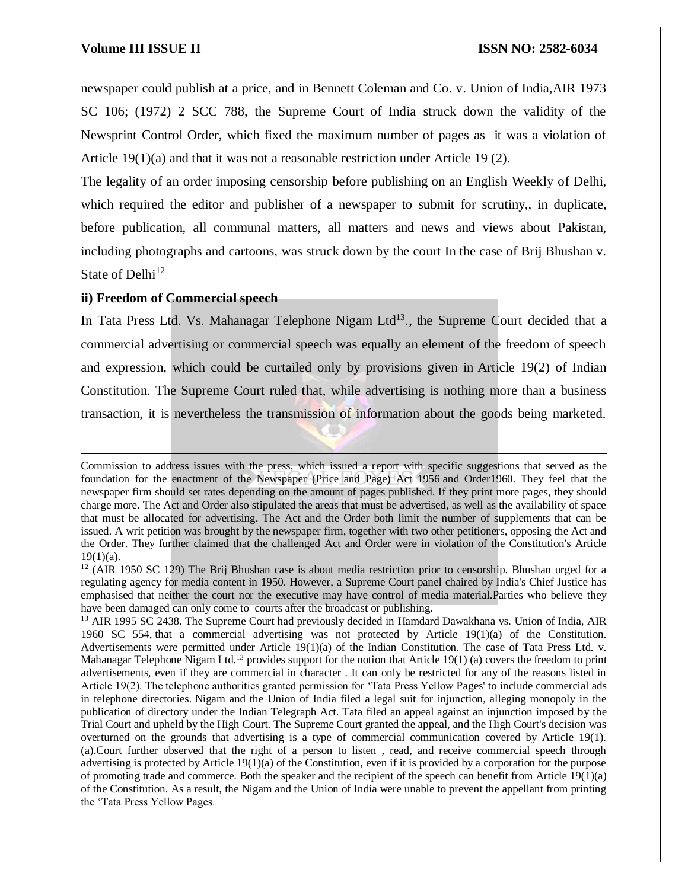newspaper could publish at a price, and in Bennett Coleman and Co. v. Union of India,AIR 1973 SC 106; (1972) 2 SCC 788, the Supreme Court of India struck down the validity of the Newsprint Control Order, which fixed the maximum number of pages as it was a violation of Article  $19(1)(a)$  and that it was not a reasonable restriction under Article 19 (2).

The legality of an order imposing censorship before publishing on an English Weekly of Delhi, which required the editor and publisher of a newspaper to submit for scrutiny, in duplicate, before publication, all communal matters, all matters and news and views about Pakistan, including photographs and cartoons, was struck down by the court In the case of Brij Bhushan v. State of Delhi<sup>12</sup>

#### **ii) Freedom of Commercial speech**

 $\overline{\phantom{a}}$ 

In Tata Press Ltd. Vs. Mahanagar Telephone Nigam Ltd<sup>13</sup>., the Supreme Court decided that a commercial advertising or commercial speech was equally an element of the freedom of speech and expression, which could be curtailed only by provisions given in Article 19(2) of Indian Constitution. The Supreme Court ruled that, while advertising is nothing more than a business transaction, it is nevertheless the transmission of information about the goods being marketed.

Commission to address issues with the press, which issued a report with specific suggestions that served as the foundation for the enactment of the Newspaper (Price and Page) Act 1956 and Order1960. They feel that the newspaper firm should set rates depending on the amount of pages published. If they print more pages, they should charge more. The Act and Order also stipulated the areas that must be advertised, as well as the availability of space that must be allocated for advertising. The Act and the Order both limit the number of supplements that can be issued. A writ petition was brought by the newspaper firm, together with two other petitioners, opposing the Act and the Order. They further claimed that the challenged Act and Order were in violation of the Constitution's Article  $19(1)(a)$ .

<sup>&</sup>lt;sup>12</sup> (AIR 1950 SC 129) The Brij Bhushan case is about media restriction prior to censorship. Bhushan urged for a regulating agency for media content in 1950. However, a Supreme Court panel chaired by India's Chief Justice has emphasised that neither the court nor the executive may have control of media material.Parties who believe they have been damaged can only come to courts after the broadcast or publishing.

<sup>&</sup>lt;sup>13</sup> AIR 1995 SC 2438. The Supreme Court had previously decided in Hamdard Dawakhana vs. Union of India, AIR 1960 SC 554, that a commercial advertising was not protected by Article 19(1)(a) of the Constitution. Advertisements were permitted under Article 19(1)(a) of the Indian Constitution. The case of Tata Press Ltd. v. Mahanagar Telephone Nigam Ltd.<sup>13</sup> provides support for the notion that Article 19(1) (a) covers the freedom to print advertisements, even if they are commercial in character . It can only be restricted for any of the reasons listed in Article 19(2). The telephone authorities granted permission for 'Tata Press Yellow Pages' to include commercial ads in telephone directories. Nigam and the Union of India filed a legal suit for injunction, alleging monopoly in the publication of directory under the Indian Telegraph Act. Tata filed an appeal against an injunction imposed by the Trial Court and upheld by the High Court. The Supreme Court granted the appeal, and the High Court's decision was overturned on the grounds that advertising is a type of commercial communication covered by Article 19(1). (a).Court further observed that the right of a person to listen , read, and receive commercial speech through advertising is protected by Article  $19(1)(a)$  of the Constitution, even if it is provided by a corporation for the purpose of promoting trade and commerce. Both the speaker and the recipient of the speech can benefit from Article 19(1)(a) of the Constitution. As a result, the Nigam and the Union of India were unable to prevent the appellant from printing the 'Tata Press Yellow Pages.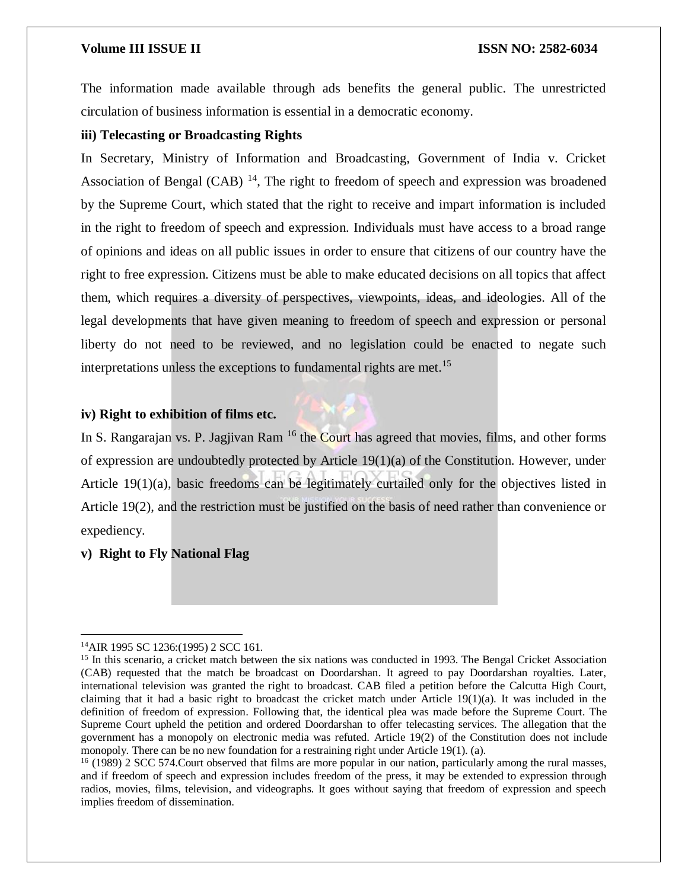The information made available through ads benefits the general public. The unrestricted circulation of business information is essential in a democratic economy.

# **iii) Telecasting or Broadcasting Rights**

In Secretary, Ministry of Information and Broadcasting, Government of India v. Cricket Association of Bengal (CAB)  $^{14}$ , The right to freedom of speech and expression was broadened by the Supreme Court, which stated that the right to receive and impart information is included in the right to freedom of speech and expression. Individuals must have access to a broad range of opinions and ideas on all public issues in order to ensure that citizens of our country have the right to free expression. Citizens must be able to make educated decisions on all topics that affect them, which requires a diversity of perspectives, viewpoints, ideas, and ideologies. All of the legal developments that have given meaning to freedom of speech and expression or personal liberty do not need to be reviewed, and no legislation could be enacted to negate such interpretations unless the exceptions to fundamental rights are met.<sup>15</sup>

# **iv) Right to exhibition of films etc.**



# **v) Right to Fly National Flag**

 $\overline{a}$ 

<sup>14</sup>AIR 1995 SC 1236:(1995) 2 SCC 161.

<sup>&</sup>lt;sup>15</sup> In this scenario, a cricket match between the six nations was conducted in 1993. The Bengal Cricket Association (CAB) requested that the match be broadcast on Doordarshan. It agreed to pay Doordarshan royalties. Later, international television was granted the right to broadcast. CAB filed a petition before the Calcutta High Court, claiming that it had a basic right to broadcast the cricket match under Article  $19(1)(a)$ . It was included in the definition of freedom of expression. Following that, the identical plea was made before the Supreme Court. The Supreme Court upheld the petition and ordered Doordarshan to offer telecasting services. The allegation that the government has a monopoly on electronic media was refuted. Article 19(2) of the Constitution does not include monopoly. There can be no new foundation for a restraining right under Article 19(1). (a).

<sup>&</sup>lt;sup>16</sup> (1989) 2 SCC 574.Court observed that films are more popular in our nation, particularly among the rural masses, and if freedom of speech and expression includes freedom of the press, it may be extended to expression through radios, movies, films, television, and videographs. It goes without saying that freedom of expression and speech implies freedom of dissemination.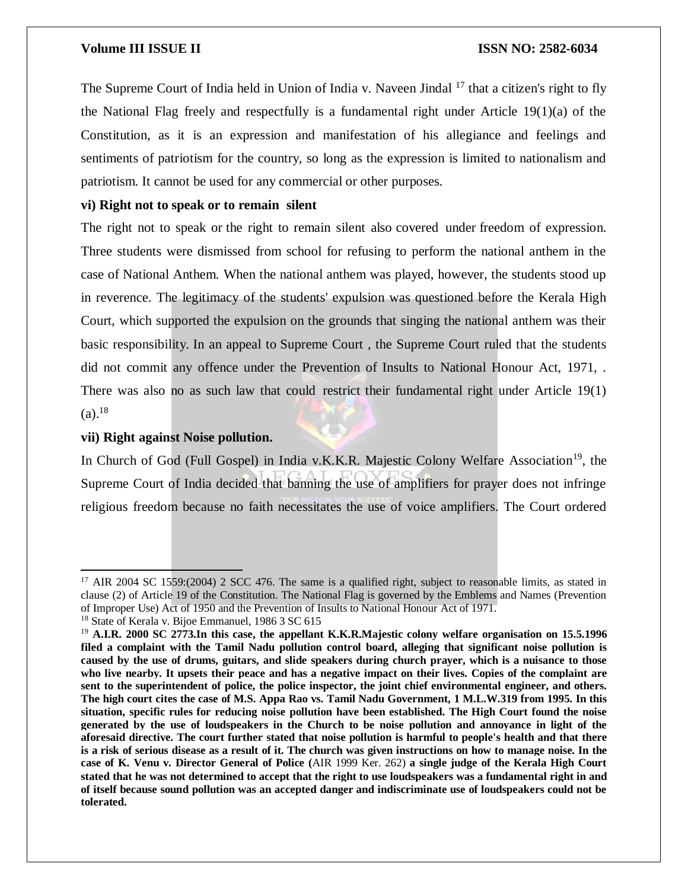The Supreme Court of India held in Union of India v. Naveen Jindal <sup>17</sup> that a citizen's right to fly the National Flag freely and respectfully is a fundamental right under Article 19(1)(a) of the Constitution, as it is an expression and manifestation of his allegiance and feelings and sentiments of patriotism for the country, so long as the expression is limited to nationalism and patriotism. It cannot be used for any commercial or other purposes.

# **vi) Right not to speak or to remain silent**

The right not to speak or the right to remain silent also covered under freedom of expression. Three students were dismissed from school for refusing to perform the national anthem in the case of National Anthem. When the national anthem was played, however, the students stood up in reverence. The legitimacy of the students' expulsion was questioned before the Kerala High Court, which supported the expulsion on the grounds that singing the national anthem was their basic responsibility. In an appeal to Supreme Court , the Supreme Court ruled that the students did not commit any offence under the Prevention of Insults to National Honour Act, 1971, . There was also no as such law that could restrict their fundamental right under Article 19(1)  $(a).^{18}$ 

## **vii) Right against Noise pollution.**

 $\overline{a}$ 

In Church of God (Full Gospel) in India v.K.K.R. Majestic Colony Welfare Association<sup>19</sup>, the Supreme Court of India decided that banning the use of amplifiers for prayer does not infringe religious freedom because no faith necessitates the use of voice amplifiers. The Court ordered

<sup>&</sup>lt;sup>17</sup> AIR 2004 SC 1559:(2004) 2 SCC 476. The same is a qualified right, subject to reasonable limits, as stated in clause (2) of Article 19 of the Constitution. The National Flag is governed by the Emblems and Names (Prevention of Improper Use) Act of 1950 and the Prevention of Insults to National Honour Act of 1971.

<sup>&</sup>lt;sup>18</sup> State of Kerala v. Bijoe Emmanuel, 1986 3 SC 615

<sup>19</sup> **A.I.R. 2000 SC 2773.In this case, the appellant K.K.R.Majestic colony welfare organisation on 15.5.1996 filed a complaint with the Tamil Nadu pollution control board, alleging that significant noise pollution is** caused by the use of drums, guitars, and slide speakers during church prayer, which is a nuisance to those who live nearby. It upsets their peace and has a negative impact on their lives. Copies of the complaint are **sent to the superintendent of police, the police inspector, the joint chief environmental engineer, and others.** The high court cites the case of M.S. Appa Rao vs. Tamil Nadu Government, 1 M.L.W.319 from 1995. In this **situation, specific rules for reducing noise pollution have been established. The High Court found the noise** generated by the use of loudspeakers in the Church to be noise pollution and annoyance in light of the aforesaid directive. The court further stated that noise pollution is harmful to people's health and that there is a risk of serious disease as a result of it. The church was given instructions on how to manage noise. In the case of K. Venu v. Director General of Police (AIR 1999 Ker. 262) a single judge of the Kerala High Court stated that he was not determined to accept that the right to use loudspeakers was a fundamental right in and of itself because sound pollution was an accepted danger and indiscriminate use of loudspeakers could not be **tolerated.**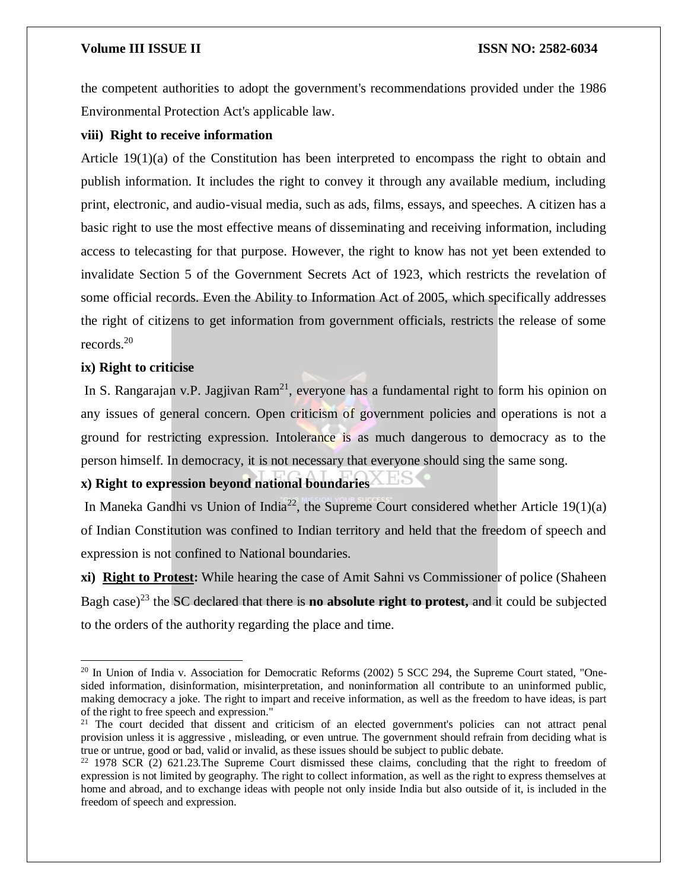the competent authorities to adopt the government's recommendations provided under the 1986 Environmental Protection Act's applicable law.

### **viii) Right to receive information**

Article 19(1)(a) of the Constitution has been interpreted to encompass the right to obtain and publish information. It includes the right to convey it through any available medium, including print, electronic, and audio-visual media, such as ads, films, essays, and speeches. A citizen has a basic right to use the most effective means of disseminating and receiving information, including access to telecasting for that purpose. However, the right to know has not yet been extended to invalidate Section 5 of the Government Secrets Act of 1923, which restricts the revelation of some official records. Even the Ability to Information Act of 2005, which specifically addresses the right of citizens to get information from government officials, restricts the release of some records.<sup>20</sup>

# **ix) Right to criticise**

 $\overline{\phantom{a}}$ 

In S. Rangarajan v.P. Jagjivan Ram<sup>21</sup>, everyone has a fundamental right to form his opinion on any issues of general concern. Open criticism of government policies and operations is not a ground for restricting expression. Intolerance is as much dangerous to democracy as to the person himself. In democracy, it is not necessary that everyone should sing the same song.

# **x) Right to expression beyond national boundaries**

In Maneka Gandhi vs Union of India<sup>22</sup>, the Supreme Court considered whether Article 19(1)(a) of Indian Constitution was confined to Indian territory and held that the freedom of speech and expression is not confined to National boundaries.

**xi) [Right to Protest](https://www.drishtiias.com/daily-updates/daily-news-editorials/right-to-dissent):** While hearing the case of Amit Sahni vs Commissioner of police (Shaheen Bagh case)<sup>23</sup> the SC declared that there is **no absolute right to protest,** and it could be subjected to the orders of the authority regarding the place and time.

<sup>&</sup>lt;sup>20</sup> In Union of India v. Association for Democratic Reforms (2002) 5 SCC 294, the Supreme Court stated, "Onesided information, disinformation, misinterpretation, and noninformation all contribute to an uninformed public, making democracy a joke. The right to impart and receive information, as well as the freedom to have ideas, is part of the right to free speech and expression."

<sup>&</sup>lt;sup>21</sup> The court decided that dissent and criticism of an elected government's policies can not attract penal provision unless it is aggressive , misleading, or even untrue. The government should refrain from deciding what is true or untrue, good or bad, valid or invalid, as these issues should be subject to public debate.

 $22$  1978 SCR (2) 621.23. The Supreme Court dismissed these claims, concluding that the right to freedom of expression is not limited by geography. The right to collect information, as well as the right to express themselves at home and abroad, and to exchange ideas with people not only inside India but also outside of it, is included in the freedom of speech and expression.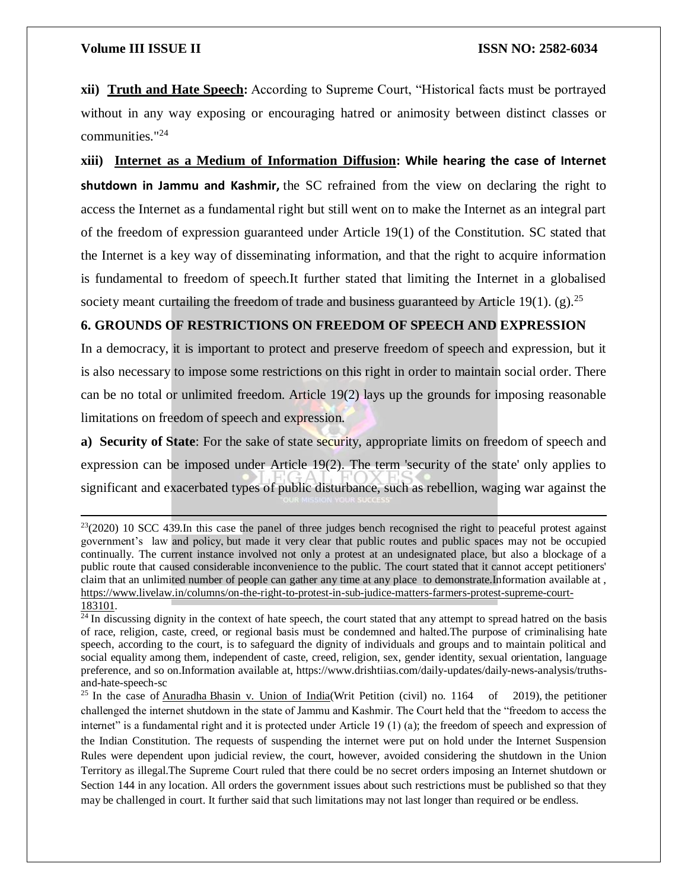$\overline{a}$ 

**xii) [Truth and Hate Speech](https://www.drishtiias.com/daily-updates/daily-news-analysis/truths-and-hate-speech-sc):** According to Supreme Court, "Historical facts must be portrayed without in any way exposing or encouraging hatred or animosity between distinct classes or communities."<sup>24</sup>

**xiii) [Internet as a Medium of Information Diffusion](https://www.drishtiias.com/daily-updates/daily-news-editorials/internet-as-a-medium-of-freedom-of-expression): While hearing the case of Internet shutdown in Jammu and Kashmir,** the SC refrained from the view on declaring the right to access the Internet as a fundamental right but still went on to make the Internet as an integral part of the freedom of expression guaranteed under Article 19(1) of the Constitution. SC stated that the Internet is a key way of disseminating information, and that the right to acquire information is fundamental to freedom of speech.It further stated that limiting the Internet in a globalised society meant curtailing the freedom of trade and business guaranteed by Article 19(1). (g).<sup>25</sup>

# **6. GROUNDS OF RESTRICTIONS ON FREEDOM OF SPEECH AND EXPRESSION**

In a democracy, it is important to protect and preserve freedom of speech and expression, but it is also necessary to impose some restrictions on this right in order to maintain social order. There can be no total or unlimited freedom. Article 19(2) lays up the grounds for imposing reasonable limitations on freedom of speech and expression.

**a) Security of State:** For the sake of state security, appropriate limits on freedom of speech and expression can be imposed under Article 19(2). The term 'security of the state' only applies to significant and exacerbated types of public disturbance, such as rebellion, waging war against the

 $^{23}(2020)$  10 SCC 439.In this case the panel of three judges bench recognised the right to peaceful protest against government's law and policy, but made it very clear that public routes and public spaces may not be occupied continually. The current instance involved not only a protest at an undesignated place, but also a blockage of a public route that caused considerable inconvenience to the public. The court stated that it cannot accept petitioners' claim that an unlimited number of people can gather any time at any place to demonstrate.Information available at , [https://www.livelaw.in/columns/on-the-right-to-protest-in-sub-judice-matters-farmers-protest-supreme-court-](https://www.livelaw.in/columns/on-the-right-to-protest-in-sub-judice-matters-farmers-protest-supreme-court-183101)[183101.](https://www.livelaw.in/columns/on-the-right-to-protest-in-sub-judice-matters-farmers-protest-supreme-court-183101)

 $\frac{1}{24}$  In discussing dignity in the context of hate speech, the court stated that any attempt to spread hatred on the basis of race, religion, caste, creed, or regional basis must be condemned and halted.The purpose of criminalising hate speech, according to the court, is to safeguard the dignity of individuals and groups and to maintain political and social equality among them, independent of caste, creed, religion, sex, gender identity, sexual orientation, language preference, and so on.Information available at, https://www.drishtiias.com/daily-updates/daily-news-analysis/truthsand-hate-speech-sc

<sup>&</sup>lt;sup>25</sup> In the case of Anuradha [Bhasin v. Union of India\(](https://indiankanoon.org/doc/82461587/)Writ Petition (civil) no. 1164 of 2019), the petitioner challenged the internet shutdown in the state of Jammu and Kashmir. The Court held that the "freedom to access the internet" is a fundamental right and it is protected under Article 19 (1) (a); the freedom of speech and expression of the Indian Constitution. The requests of suspending the internet were put on hold under the Internet Suspension Rules were dependent upon judicial review, the court, however, avoided considering the shutdown in the Union Territory as illegal.The Supreme Court ruled that there could be no secret orders imposing an Internet shutdown or Section 144 in any location. All orders the government issues about such restrictions must be published so that they may be challenged in court. It further said that such limitations may not last longer than required or be endless.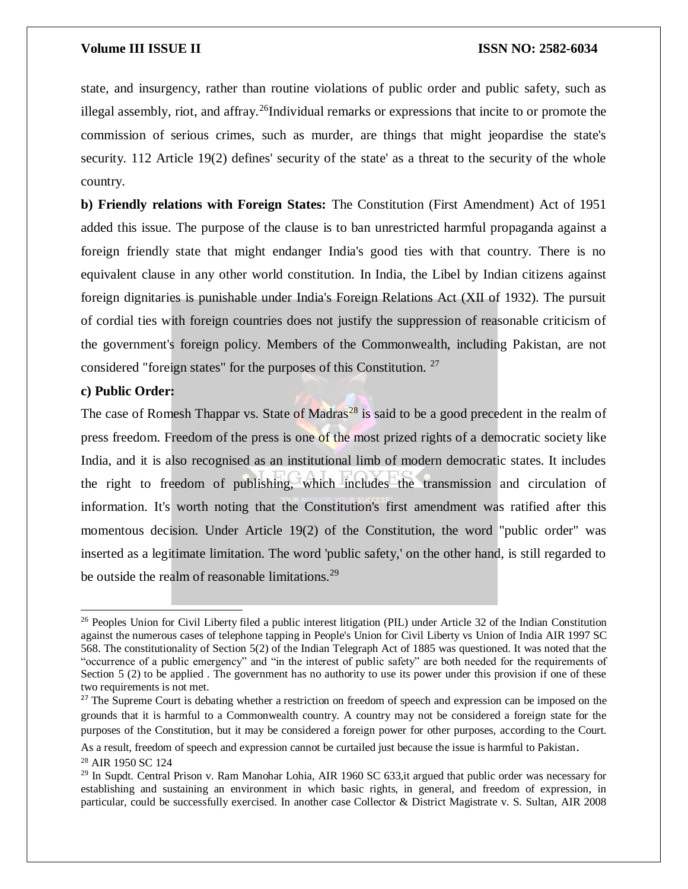state, and insurgency, rather than routine violations of public order and public safety, such as illegal assembly, riot, and affray.<sup>26</sup>Individual remarks or expressions that incite to or promote the commission of serious crimes, such as murder, are things that might jeopardise the state's security. 112 Article 19(2) defines' security of the state' as a threat to the security of the whole country.

**b) Friendly relations with Foreign States:** The Constitution (First Amendment) Act of 1951 added this issue. The purpose of the clause is to ban unrestricted harmful propaganda against a foreign friendly state that might endanger India's good ties with that country. There is no equivalent clause in any other world constitution. In India, the Libel by Indian citizens against foreign dignitaries is punishable under India's Foreign Relations Act (XII of 1932). The pursuit of cordial ties with foreign countries does not justify the suppression of reasonable criticism of the government's foreign policy. Members of the Commonwealth, including Pakistan, are not considered "foreign states" for the purposes of this Constitution. <sup>27</sup>

### **c) Public Order:**

The case of Romesh Thappar vs. State of Madras<sup>28</sup> is said to be a good precedent in the realm of press freedom. Freedom of the press is one of the most prized rights of a democratic society like India, and it is also recognised as an institutional limb of modern democratic states. It includes the right to freedom of publishing, which includes the transmission and circulation of information. It's worth noting that the Constitution's first amendment was ratified after this momentous decision. Under Article 19(2) of the Constitution, the word "public order" was inserted as a legitimate limitation. The word 'public safety,' on the other hand, is still regarded to be outside the realm of reasonable limitations.<sup>29</sup>

 $\overline{\phantom{a}}$ 

<sup>&</sup>lt;sup>26</sup> Peoples Union for Civil Liberty filed a public interest litigation (PIL) under Article 32 of the Indian Constitution against the numerous cases of telephone tapping in People's Union for Civil Liberty vs Union of India AIR 1997 SC 568. The constitutionality of Section 5(2) of the Indian Telegraph Act of 1885 was questioned. It was noted that the "occurrence of a public emergency" and "in the interest of public safety" are both needed for the requirements of Section 5 (2) to be applied. The government has no authority to use its power under this provision if one of these two requirements is not met.

<sup>&</sup>lt;sup>27</sup> The Supreme Court is debating whether a restriction on freedom of speech and expression can be imposed on the grounds that it is harmful to a Commonwealth country. A country may not be considered a foreign state for the purposes of the Constitution, but it may be considered a foreign power for other purposes, according to the Court.

As a result, freedom of speech and expression cannot be curtailed just because the issue is harmful to Pakistan.

<sup>28</sup> AIR 1950 SC 124

<sup>&</sup>lt;sup>29</sup> In Supdt. Central Prison v. Ram Manohar Lohia, AIR 1960 SC 633, it argued that public order was necessary for establishing and sustaining an environment in which basic rights, in general, and freedom of expression, in particular, could be successfully exercised. In another case Collector & District Magistrate v. S. Sultan, AIR 2008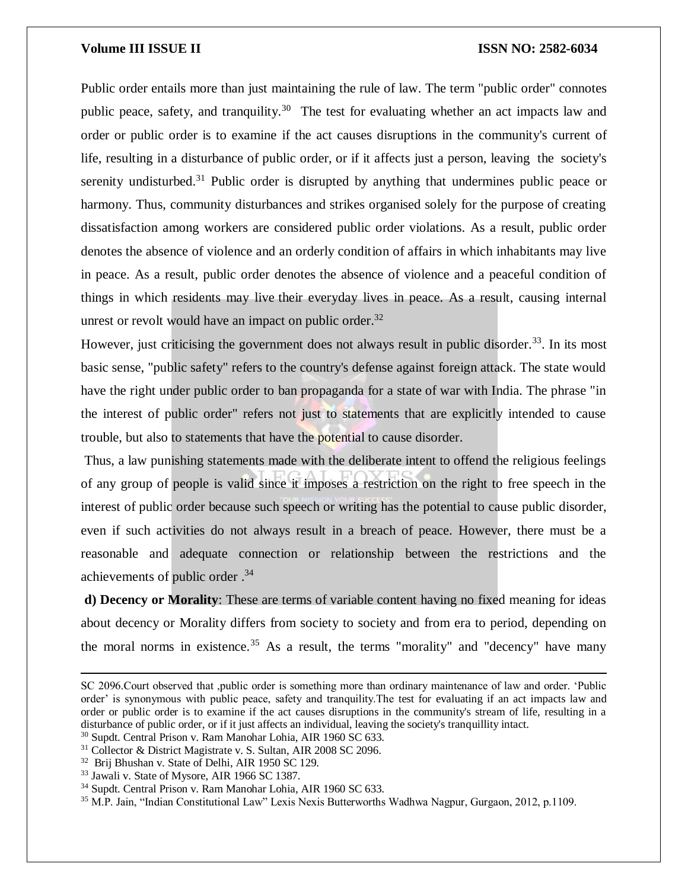Public order entails more than just maintaining the rule of law. The term "public order" connotes public peace, safety, and tranquility.<sup>30</sup> The test for evaluating whether an act impacts law and order or public order is to examine if the act causes disruptions in the community's current of life, resulting in a disturbance of public order, or if it affects just a person, leaving the society's serenity undisturbed.<sup>31</sup> Public order is disrupted by anything that undermines public peace or harmony. Thus, community disturbances and strikes organised solely for the purpose of creating dissatisfaction among workers are considered public order violations. As a result, public order denotes the absence of violence and an orderly condition of affairs in which inhabitants may live in peace. As a result, public order denotes the absence of violence and a peaceful condition of things in which residents may live their everyday lives in peace. As a result, causing internal unrest or revolt would have an impact on public order.<sup>32</sup>

However, just criticising the government does not always result in public disorder.<sup>33</sup>. In its most basic sense, "public safety" refers to the country's defense against foreign attack. The state would have the right under public order to ban propaganda for a state of war with India. The phrase "in the interest of public order" refers not just to statements that are explicitly intended to cause trouble, but also to statements that have the potential to cause disorder.

Thus, a law punishing statements made with the deliberate intent to offend the religious feelings of any group of people is valid since it imposes a restriction on the right to free speech in the interest of public order because such speech or writing has the potential to cause public disorder, even if such activities do not always result in a breach of peace. However, there must be a reasonable and adequate connection or relationship between the restrictions and the achievements of public order .<sup>34</sup>

**d) Decency or Morality**: These are terms of variable content having no fixed meaning for ideas about decency or Morality differs from society to society and from era to period, depending on the moral norms in existence.<sup>35</sup> As a result, the terms "morality" and "decency" have many

 $\overline{a}$ 

SC 2096.Court observed that ,public order is something more than ordinary maintenance of law and order. 'Public order' is synonymous with public peace, safety and tranquility.The test for evaluating if an act impacts law and order or public order is to examine if the act causes disruptions in the community's stream of life, resulting in a disturbance of public order, or if it just affects an individual, leaving the society's tranquillity intact.

<sup>30</sup> Supdt. Central Prison v. Ram Manohar Lohia, AIR 1960 SC 633.

<sup>31</sup> Collector & District Magistrate v. S. Sultan, AIR 2008 SC 2096.

<sup>&</sup>lt;sup>32</sup> Brij Bhushan v. State of Delhi, AIR 1950 SC 129.

<sup>33</sup> Jawali v. State of Mysore, AIR 1966 SC 1387.

<sup>34</sup> Supdt. Central Prison v. Ram Manohar Lohia, AIR 1960 SC 633.

<sup>35</sup> M.P. Jain, "Indian Constitutional Law" Lexis Nexis Butterworths Wadhwa Nagpur, Gurgaon, 2012, p.1109.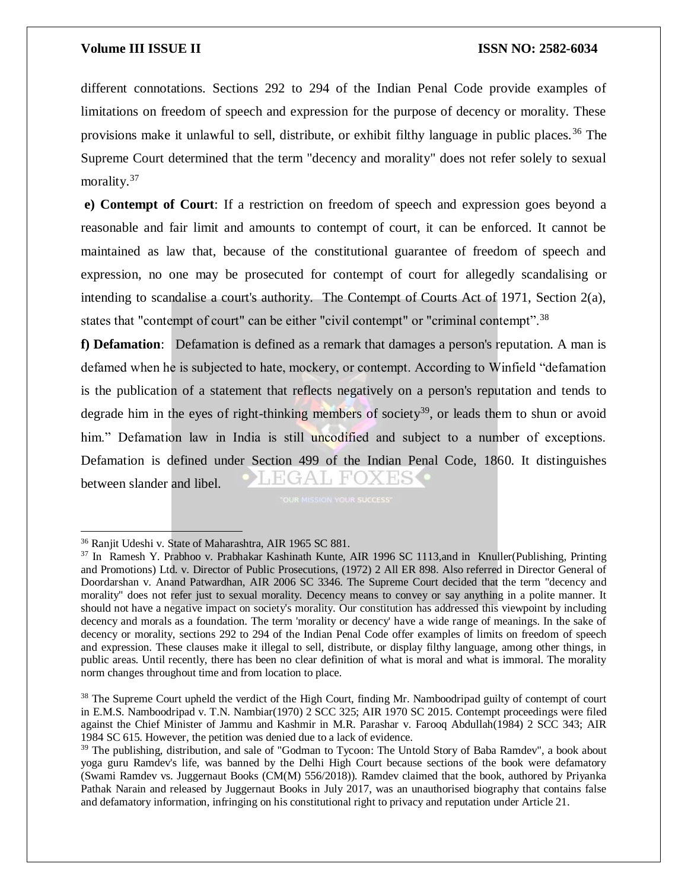different connotations. Sections 292 to 294 of the Indian Penal Code provide examples of limitations on freedom of speech and expression for the purpose of decency or morality. These provisions make it unlawful to sell, distribute, or exhibit filthy language in public places.<sup>36</sup> The Supreme Court determined that the term "decency and morality" does not refer solely to sexual morality.<sup>37</sup>

**e) Contempt of Court**: If a restriction on freedom of speech and expression goes beyond a reasonable and fair limit and amounts to contempt of court, it can be enforced. It cannot be maintained as law that, because of the constitutional guarantee of freedom of speech and expression, no one may be prosecuted for contempt of court for allegedly scandalising or intending to scandalise a court's authority. The Contempt of Courts Act of 1971, Section 2(a), states that "contempt of court" can be either "civil contempt" or "criminal contempt".<sup>38</sup>

**f) Defamation**: Defamation is defined as a remark that damages a person's reputation. A man is defamed when he is subjected to hate, mockery, or contempt. According to Winfield "defamation is the publication of a statement that reflects negatively on a person's reputation and tends to degrade him in the eyes of right-thinking members of society<sup>39</sup>, or leads them to shun or avoid him." Defamation law in India is still uncodified and subject to a number of exceptions. Defamation is defined under Section 499 of the Indian Penal Code, 1860. It distinguishes between slander and libel.

 $\overline{a}$ 

<sup>36</sup> Ranjit Udeshi v. State of Maharashtra, AIR 1965 SC 881.

<sup>37</sup> In Ramesh Y. Prabhoo v. Prabhakar Kashinath Kunte, AIR 1996 SC 1113,and in Knuller(Publishing, Printing and Promotions) Ltd. v. Director of Public Prosecutions, (1972) 2 All ER 898. Also referred in Director General of Doordarshan v. Anand Patwardhan, AIR 2006 SC 3346. The Supreme Court decided that the term "decency and morality" does not refer just to sexual morality. Decency means to convey or say anything in a polite manner. It should not have a negative impact on society's morality. Our constitution has addressed this viewpoint by including decency and morals as a foundation. The term 'morality or decency' have a wide range of meanings. In the sake of decency or morality, sections 292 to 294 of the Indian Penal Code offer examples of limits on freedom of speech and expression. These clauses make it illegal to sell, distribute, or display filthy language, among other things, in public areas. Until recently, there has been no clear definition of what is moral and what is immoral. The morality norm changes throughout time and from location to place.

<sup>&</sup>lt;sup>38</sup> The Supreme Court upheld the verdict of the High Court, finding Mr. Namboodripad guilty of contempt of court in E.M.S. Namboodripad v. T.N. Nambiar(1970) 2 SCC 325; AIR 1970 SC 2015. Contempt proceedings were filed against the Chief Minister of Jammu and Kashmir in M.R. Parashar v. Farooq Abdullah(1984) 2 SCC 343; AIR 1984 SC 615. However, the petition was denied due to a lack of evidence.

<sup>&</sup>lt;sup>39</sup> The publishing, distribution, and sale of "Godman to Tycoon: The Untold Story of Baba Ramdev", a book about yoga guru Ramdev's life, was banned by the Delhi High Court because sections of the book were defamatory (Swami Ramdev vs. Juggernaut Books (CM(M) 556/2018)). Ramdev claimed that the book, authored by Priyanka Pathak Narain and released by Juggernaut Books in July 2017, was an unauthorised biography that contains false and defamatory information, infringing on his constitutional right to privacy and reputation under Article 21.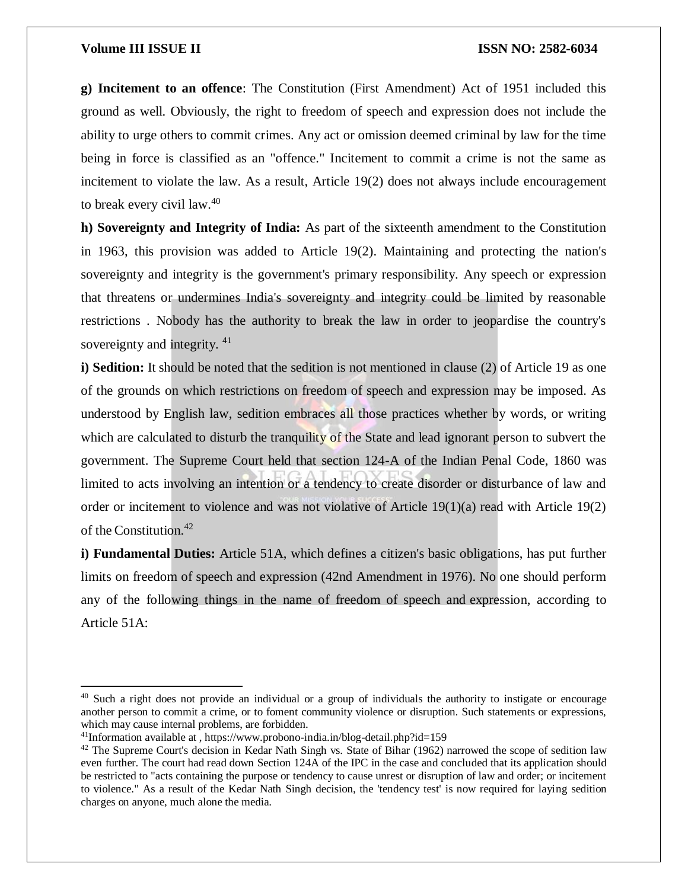$\overline{a}$ 

**g) Incitement to an offence**: The Constitution (First Amendment) Act of 1951 included this ground as well. Obviously, the right to freedom of speech and expression does not include the ability to urge others to commit crimes. Any act or omission deemed criminal by law for the time being in force is classified as an "offence." Incitement to commit a crime is not the same as incitement to violate the law. As a result, Article 19(2) does not always include encouragement to break every civil law.<sup>40</sup>

**h) Sovereignty and Integrity of India:** As part of the sixteenth amendment to the Constitution in 1963, this provision was added to Article 19(2). Maintaining and protecting the nation's sovereignty and integrity is the government's primary responsibility. Any speech or expression that threatens or undermines India's sovereignty and integrity could be limited by reasonable restrictions . Nobody has the authority to break the law in order to jeopardise the country's sovereignty and integrity. <sup>41</sup>

**i) Sedition:** It should be noted that the sedition is not mentioned in clause (2) of Article 19 as one of the grounds on which restrictions on freedom of speech and expression may be imposed. As understood by English law, sedition embraces all those practices whether by words, or writing which are calculated to disturb the tranquility of the State and lead ignorant person to subvert the government. The Supreme Court held that section 124-A of the Indian Penal Code, 1860 was limited to acts involving an intention or a tendency to create disorder or disturbance of law and order or incitement to violence and was not violative of Article 19(1)(a) read with Article 19(2) of the Constitution.<sup>42</sup>

**i) Fundamental Duties:** Article 51A, which defines a citizen's basic obligations, has put further limits on freedom of speech and expression (42nd Amendment in 1976). No one should perform any of the following things in the name of freedom of speech and expression, according to Article 51A:

<sup>&</sup>lt;sup>40</sup> Such a right does not provide an individual or a group of individuals the authority to instigate or encourage another person to commit a crime, or to foment community violence or disruption. Such statements or expressions, which may cause internal problems, are forbidden.

 $41$ Information available at , https://www.probono-india.in/blog-detail.php?id=159

 $42$  The Supreme Court's decision in Kedar Nath Singh vs. State of Bihar (1962) narrowed the scope of sedition law even further. The court had read down Section 124A of the IPC in the case and concluded that its application should be restricted to "acts containing the purpose or tendency to cause unrest or disruption of law and order; or incitement to violence." As a result of the Kedar Nath Singh decision, the 'tendency test' is now required for laying sedition charges on anyone, much alone the media.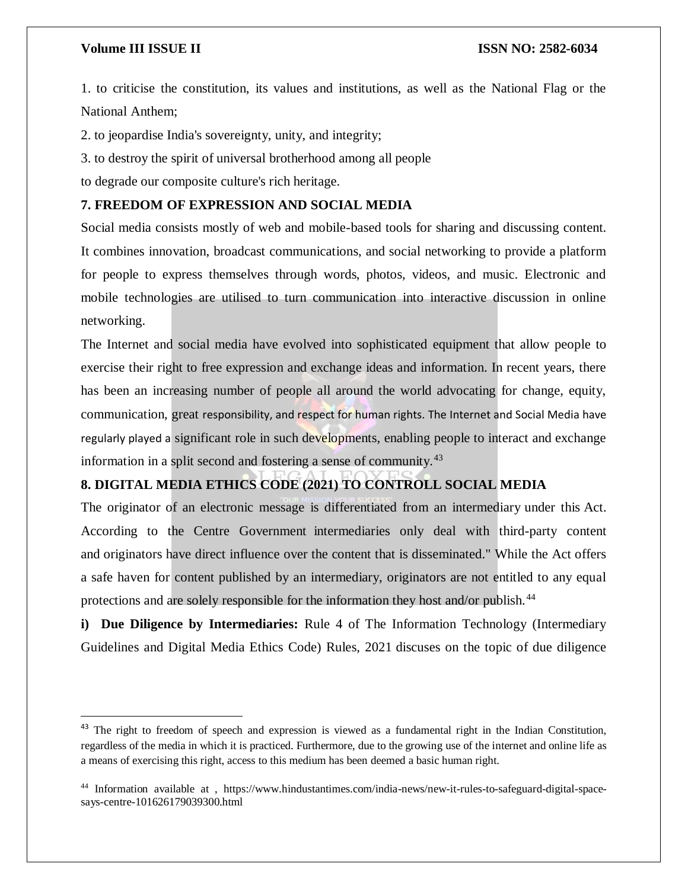$\overline{a}$ 

1. to criticise the constitution, its values and institutions, as well as the National Flag or the National Anthem;

2. to jeopardise India's sovereignty, unity, and integrity;

3. to destroy the spirit of universal brotherhood among all people

to degrade our composite culture's rich heritage.

# **7. FREEDOM OF EXPRESSION AND SOCIAL MEDIA**

Social media consists mostly of web and mobile-based tools for sharing and discussing content. It combines innovation, broadcast communications, and social networking to provide a platform for people to express themselves through words, photos, videos, and music. Electronic and mobile technologies are utilised to turn communication into interactive discussion in online networking.

The Internet and social media have evolved into sophisticated equipment that allow people to exercise their right to free expression and exchange ideas and information. In recent years, there has been an increasing number of people all around the world advocating for change, equity, communication, great responsibility, and respect for human rights. The Internet and Social Media have regularly played a significant role in such developments, enabling people to interact and exchange information in a split second and fostering a sense of community.<sup>43</sup>

# **8. DIGITAL MEDIA ETHICS CODE (2021) TO CONTROLL SOCIAL MEDIA**

The originator of an electronic message is differentiated from an intermediary under this Act. According to the Centre Government intermediaries only deal with third-party content and originators have direct influence over the content that is disseminated." While the Act offers a safe haven for content published by an intermediary, originators are not entitled to any equal protections and are solely responsible for the information they host and/or publish.<sup>44</sup>

**i) Due Diligence by Intermediaries:** Rule 4 of The Information Technology (Intermediary Guidelines and Digital Media Ethics Code) Rules, 2021 discuses on the topic of due diligence

<sup>&</sup>lt;sup>43</sup> The right to freedom of speech and expression is viewed as a fundamental right in the Indian Constitution, regardless of the media in which it is practiced. Furthermore, due to the growing use of the internet and online life as a means of exercising this right, access to this medium has been deemed a basic human right.

<sup>44</sup> Information available at , https://www.hindustantimes.com/india-news/new-it-rules-to-safeguard-digital-spacesays-centre-101626179039300.html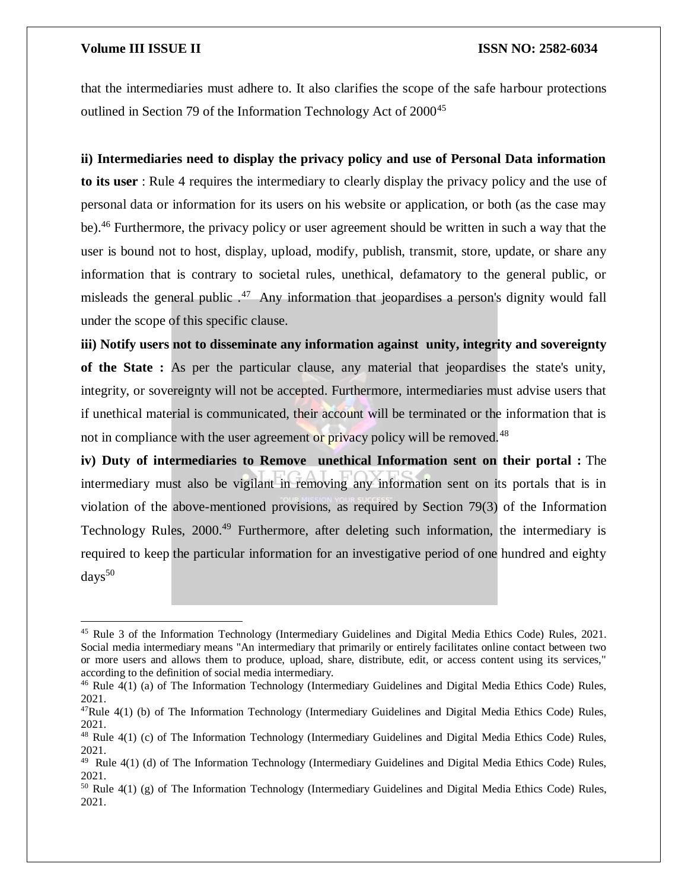$\overline{\phantom{a}}$ 

that the intermediaries must adhere to. It also clarifies the scope of the safe harbour protections outlined in Section 79 of the Information Technology Act of 2000<sup>45</sup>

#### **ii) Intermediaries need to display the privacy policy and use of Personal Data information**

**to its user** : Rule 4 requires the intermediary to clearly display the privacy policy and the use of personal data or information for its users on his website or application, or both (as the case may be).<sup>46</sup> Furthermore, the privacy policy or user agreement should be written in such a way that the user is bound not to host, display, upload, modify, publish, transmit, store, update, or share any information that is contrary to societal rules, unethical, defamatory to the general public, or misleads the general public  $.47\,$  Any information that jeopardises a person's dignity would fall under the scope of this specific clause.

**iii) Notify users not to disseminate any information against unity, integrity and sovereignty of the State :** As per the particular clause, any material that jeopardises the state's unity, integrity, or sovereignty will not be accepted. Furthermore, intermediaries must advise users that if unethical material is communicated, their account will be terminated or the information that is not in compliance with the user agreement or privacy policy will be removed.<sup>48</sup>

**iv) Duty of intermediaries to Remove unethical Information sent on their portal :** The intermediary must also be vigilant in removing any information sent on its portals that is in violation of the above-mentioned provisions, as required by Section 79(3) of the Information Technology Rules, 2000.<sup>49</sup> Furthermore, after deleting such information, the intermediary is required to keep the particular information for an investigative period of one hundred and eighty  $days^{50}$ 

<sup>45</sup> Rule 3 of the Information Technology (Intermediary Guidelines and Digital Media Ethics Code) Rules, 2021. Social media intermediary means "An intermediary that primarily or entirely facilitates online contact between two or more users and allows them to produce, upload, share, distribute, edit, or access content using its services," according to the definition of social media intermediary.

<sup>&</sup>lt;sup>46</sup> Rule 4(1) (a) of The Information Technology (Intermediary Guidelines and Digital Media Ethics Code) Rules, 2021.

<sup>&</sup>lt;sup>47</sup>Rule 4(1) (b) of The Information Technology (Intermediary Guidelines and Digital Media Ethics Code) Rules, 2021.

<sup>&</sup>lt;sup>48</sup> Rule 4(1) (c) of The Information Technology (Intermediary Guidelines and Digital Media Ethics Code) Rules, 2021.

 $49$  Rule  $4(1)$  (d) of The Information Technology (Intermediary Guidelines and Digital Media Ethics Code) Rules, 2021.

<sup>50</sup> Rule 4(1) (g) of The Information Technology (Intermediary Guidelines and Digital Media Ethics Code) Rules, 2021.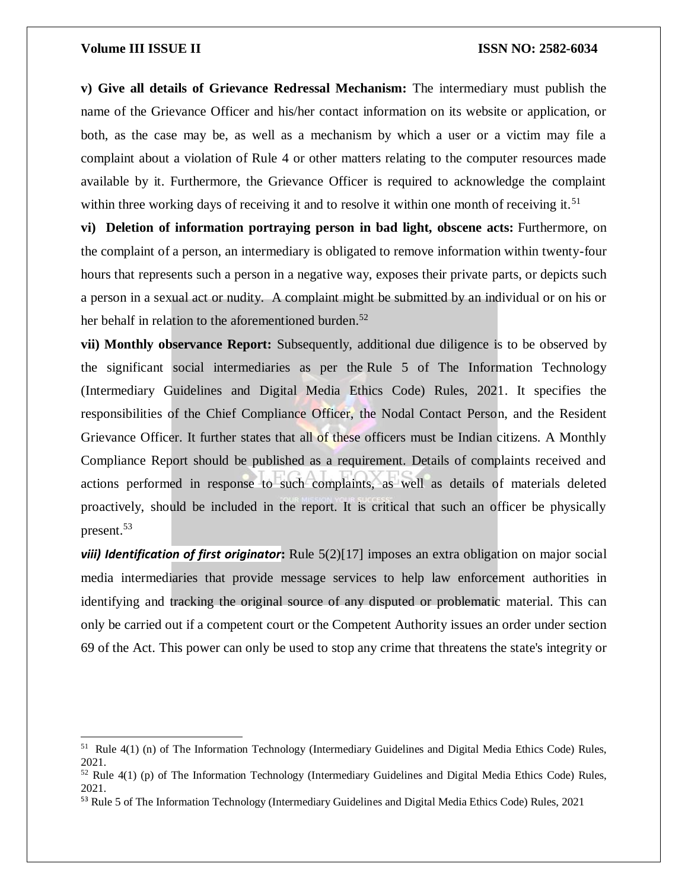$\overline{\phantom{a}}$ 

**v) Give all details of Grievance Redressal Mechanism:** The intermediary must publish the name of the Grievance Officer and his/her contact information on its website or application, or both, as the case may be, as well as a mechanism by which a user or a victim may file a complaint about a violation of Rule 4 or other matters relating to the computer resources made available by it. Furthermore, the Grievance Officer is required to acknowledge the complaint within three working days of receiving it and to resolve it within one month of receiving it.<sup>51</sup>

**vi) Deletion of information portraying person in bad light, obscene acts:** Furthermore, on the complaint of a person, an intermediary is obligated to remove information within twenty-four hours that represents such a person in a negative way, exposes their private parts, or depicts such a person in a sexual act or nudity. A complaint might be submitted by an individual or on his or her behalf in relation to the aforementioned burden.<sup>52</sup>

**vii) Monthly observance Report:** Subsequently, additional due diligence is to be observed by the significant social intermediaries as per the Rule 5 of The Information Technology (Intermediary Guidelines and Digital Media Ethics Code) Rules, 2021. It specifies the responsibilities of the Chief Compliance Officer, the Nodal Contact Person, and the Resident Grievance Officer. It further states that all of these officers must be Indian citizens. A Monthly Compliance Report should be published as a requirement. Details of complaints received and actions performed in response to such complaints, as well as details of materials deleted proactively, should be included in the report. It is critical that such an officer be physically present.<sup>53</sup>

*viii) Identification of first originator***:** Rule 5(2)[17] imposes an extra obligation on major social media intermediaries that provide message services to help law enforcement authorities in identifying and tracking the original source of any disputed or problematic material. This can only be carried out if a competent court or the Competent Authority issues an order under section 69 of the Act. This power can only be used to stop any crime that threatens the state's integrity or

<sup>51</sup> Rule 4(1) (n) of The Information Technology (Intermediary Guidelines and Digital Media Ethics Code) Rules, 2021.

 $52$  Rule 4(1) (p) of The Information Technology (Intermediary Guidelines and Digital Media Ethics Code) Rules, 2021.

<sup>&</sup>lt;sup>53</sup> Rule 5 of The Information Technology (Intermediary Guidelines and Digital Media Ethics Code) Rules, 2021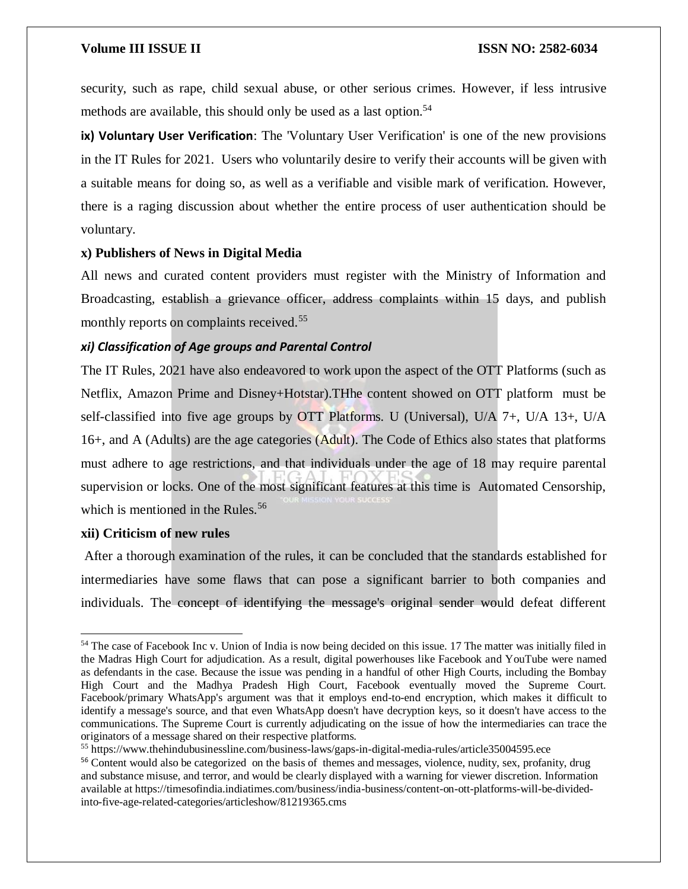security, such as rape, child sexual abuse, or other serious crimes. However, if less intrusive methods are available, this should only be used as a last option. 54

**ix) Voluntary User Verification**: The 'Voluntary User Verification' is one of the new provisions in the IT Rules for 2021. Users who voluntarily desire to verify their accounts will be given with a suitable means for doing so, as well as a verifiable and visible mark of verification. However, there is a raging discussion about whether the entire process of user authentication should be voluntary.

# **x) Publishers of News in Digital Media**

All news and curated content providers must register with the Ministry of Information and Broadcasting, establish a grievance officer, address complaints within 15 days, and publish monthly reports on complaints received.<sup>55</sup>

# *xi) Classification of Age groups and Parental Control*

The IT Rules, 2021 have also endeavored to work upon the aspect of the OTT Platforms (such as Netflix, Amazon Prime and Disney+Hotstar).THhe content showed on OTT platform must be self-classified into five age groups by OTT Platforms. U (Universal), U/A 7+, U/A 13+, U/A 16+, and A (Adults) are the age categories (Adult). The Code of Ethics also states that platforms must adhere to age restrictions, and that individuals under the age of 18 may require parental supervision or locks. One of the most significant features at this time is Automated Censorship, which is mentioned in the Rules.<sup>56</sup>

### **xii) Criticism of new rules**

 $\overline{a}$ 

After a thorough examination of the rules, it can be concluded that the standards established for intermediaries have some flaws that can pose a significant barrier to both companies and individuals. The concept of identifying the message's original sender would defeat different

<sup>&</sup>lt;sup>54</sup> The case of Facebook Inc v. Union of India is now being decided on this issue. 17 The matter was initially filed in the Madras High Court for adjudication. As a result, digital powerhouses like Facebook and YouTube were named as defendants in the case. Because the issue was pending in a handful of other High Courts, including the Bombay High Court and the Madhya Pradesh High Court, Facebook eventually moved the Supreme Court. Facebook/primary WhatsApp's argument was that it employs end-to-end encryption, which makes it difficult to identify a message's source, and that even WhatsApp doesn't have decryption keys, so it doesn't have access to the communications. The Supreme Court is currently adjudicating on the issue of how the intermediaries can trace the originators of a message shared on their respective platforms.

<sup>55</sup> https://www.thehindubusinessline.com/business-laws/gaps-in-digital-media-rules/article35004595.ece

<sup>56</sup> Content would also be categorized on the basis of themes and messages, violence, nudity, sex, profanity, drug and substance misuse, and terror, and would be clearly displayed with a warning for viewer discretion. Information available at https://timesofindia.indiatimes.com/business/india-business/content-on-ott-platforms-will-be-dividedinto-five-age-related-categories/articleshow/81219365.cms